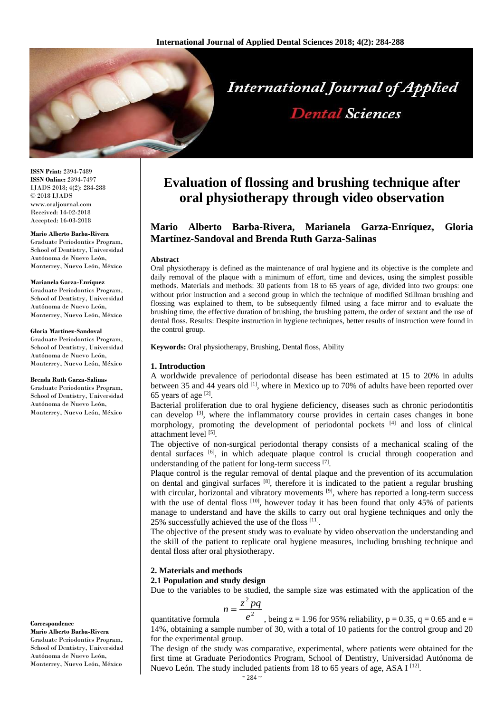

**ISSN Print:** 2394-7489 **ISSN Online:** 2394-7497 IJADS 2018; 4(2): 284-288 © 2018 IJADS www.oraljournal.com Received: 14-02-2018 Accepted: 16-03-2018

#### **Mario Alberto Barba-Rivera**

Graduate Periodontics Program, School of Dentistry, Universidad Autónoma de Nuevo León, Monterrey, Nuevo León, México

#### **Marianela Garza-Enríquez**

Graduate Periodontics Program, School of Dentistry, Universidad Autónoma de Nuevo León, Monterrey, Nuevo León, México

#### **Gloria Martínez-Sandoval**

Graduate Periodontics Program, School of Dentistry, Universidad Autónoma de Nuevo León, Monterrey, Nuevo León, México

#### **Brenda Ruth Garza-Salinas**

Graduate Periodontics Program, School of Dentistry, Universidad Autónoma de Nuevo León, Monterrey, Nuevo León, México

**Correspondence Mario Alberto Barba-Rivera**

Graduate Periodontics Program, School of Dentistry, Universidad Autónoma de Nuevo León, Monterrey, Nuevo León, México

# **Evaluation of flossing and brushing technique after oral physiotherapy through video observation**

# **Mario Alberto Barba-Rivera, Marianela Garza-Enríquez, Gloria Martínez-Sandoval and Brenda Ruth Garza-Salinas**

#### **Abstract**

Oral physiotherapy is defined as the maintenance of oral hygiene and its objective is the complete and daily removal of the plaque with a minimum of effort, time and devices, using the simplest possible methods. Materials and methods: 30 patients from 18 to 65 years of age, divided into two groups: one without prior instruction and a second group in which the technique of modified Stillman brushing and flossing was explained to them, to be subsequently filmed using a face mirror and to evaluate the brushing time, the effective duration of brushing, the brushing pattern, the order of sextant and the use of dental floss. Results: Despite instruction in hygiene techniques, better results of instruction were found in the control group.

**Keywords:** Oral physiotherapy, Brushing, Dental floss, Ability

#### **1. Introduction**

A worldwide prevalence of periodontal disease has been estimated at 15 to 20% in adults between 35 and 44 years old <sup>[1]</sup>, where in Mexico up to 70% of adults have been reported over 65 years of age  $[2]$ .

Bacterial proliferation due to oral hygiene deficiency, diseases such as chronic periodontitis can develop <sup>[3]</sup>, where the inflammatory course provides in certain cases changes in bone morphology, promoting the development of periodontal pockets [4] and loss of clinical attachment level [5].

The objective of non-surgical periodontal therapy consists of a mechanical scaling of the dental surfaces  $[6]$ , in which adequate plaque control is crucial through cooperation and understanding of the patient for long-term success [7].

Plaque control is the regular removal of dental plaque and the prevention of its accumulation on dental and gingival surfaces  $[8]$ , therefore it is indicated to the patient a regular brushing with circular, horizontal and vibratory movements  $[9]$ , where has reported a long-term success with the use of dental floss [10], however today it has been found that only 45% of patients manage to understand and have the skills to carry out oral hygiene techniques and only the 25% successfully achieved the use of the floss [11].

The objective of the present study was to evaluate by video observation the understanding and the skill of the patient to replicate oral hygiene measures, including brushing technique and dental floss after oral physiotherapy.

# **2. Materials and methods**

**2.1 Population and study design**

Due to the variables to be studied, the sample size was estimated with the application of the

$$
=\frac{z^2pq}{a^2}
$$

*n*

quantitative formula *e* , being  $z = 1.96$  for 95% reliability,  $p = 0.35$ ,  $q = 0.65$  and  $e =$ 14%, obtaining a sample number of 30, with a total of 10 patients for the control group and 20 for the experimental group.

The design of the study was comparative, experimental, where patients were obtained for the first time at Graduate Periodontics Program, School of Dentistry, Universidad Autónoma de Nuevo León. The study included patients from 18 to 65 years of age, ASA I <a>[12]</a>.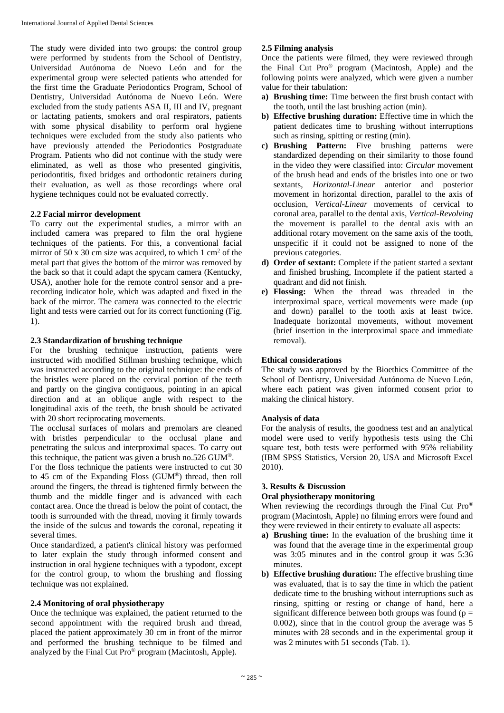The study were divided into two groups: the control group were performed by students from the School of Dentistry, Universidad Autónoma de Nuevo León and for the experimental group were selected patients who attended for the first time the Graduate Periodontics Program, School of Dentistry, Universidad Autónoma de Nuevo León. Were excluded from the study patients ASA II, III and IV, pregnant or lactating patients, smokers and oral respirators, patients with some physical disability to perform oral hygiene techniques were excluded from the study also patients who have previously attended the Periodontics Postgraduate Program. Patients who did not continue with the study were eliminated, as well as those who presented gingivitis, periodontitis, fixed bridges and orthodontic retainers during their evaluation, as well as those recordings where oral hygiene techniques could not be evaluated correctly.

## **2.2 Facial mirror development**

To carry out the experimental studies, a mirror with an included camera was prepared to film the oral hygiene techniques of the patients. For this, a conventional facial mirror of 50 x 30 cm size was acquired, to which  $1 \text{ cm}^2$  of the metal part that gives the bottom of the mirror was removed by the back so that it could adapt the spycam camera (Kentucky, USA), another hole for the remote control sensor and a prerecording indicator hole, which was adapted and fixed in the back of the mirror. The camera was connected to the electric light and tests were carried out for its correct functioning (Fig. 1).

### **2.3 Standardization of brushing technique**

For the brushing technique instruction, patients were instructed with modified Stillman brushing technique, which was instructed according to the original technique: the ends of the bristles were placed on the cervical portion of the teeth and partly on the gingiva contiguous, pointing in an apical direction and at an oblique angle with respect to the longitudinal axis of the teeth, the brush should be activated with 20 short reciprocating movements.

The occlusal surfaces of molars and premolars are cleaned with bristles perpendicular to the occlusal plane and penetrating the sulcus and interproximal spaces. To carry out this technique, the patient was given a brush no.526 GUM®.

For the floss technique the patients were instructed to cut 30 to 45 cm of the Expanding Floss (GUM®) thread, then roll around the fingers, the thread is tightened firmly between the thumb and the middle finger and is advanced with each contact area. Once the thread is below the point of contact, the tooth is surrounded with the thread, moving it firmly towards the inside of the sulcus and towards the coronal, repeating it several times.

Once standardized, a patient's clinical history was performed to later explain the study through informed consent and instruction in oral hygiene techniques with a typodont, except for the control group, to whom the brushing and flossing technique was not explained.

### **2.4 Monitoring of oral physiotherapy**

Once the technique was explained, the patient returned to the second appointment with the required brush and thread, placed the patient approximately 30 cm in front of the mirror and performed the brushing technique to be filmed and analyzed by the Final Cut Pro® program (Macintosh, Apple).

# **2.5 Filming analysis**

Once the patients were filmed, they were reviewed through the Final Cut Pro® program (Macintosh, Apple) and the following points were analyzed, which were given a number value for their tabulation:

- **a) Brushing time:** Time between the first brush contact with the tooth, until the last brushing action (min).
- **b) Effective brushing duration:** Effective time in which the patient dedicates time to brushing without interruptions such as rinsing, spitting or resting (min).
- **c) Brushing Pattern:** Five brushing patterns were standardized depending on their similarity to those found in the video they were classified into: *Circular* movement of the brush head and ends of the bristles into one or two sextants, *Horizontal-Linear* anterior and posterior movement in horizontal direction, parallel to the axis of occlusion, *Vertical-Linear* movements of cervical to coronal area, parallel to the dental axis, *Vertical-Revolving* the movement is parallel to the dental axis with an additional rotary movement on the same axis of the tooth, unspecific if it could not be assigned to none of the previous categories.
- **d) Order of sextant:** Complete if the patient started a sextant and finished brushing, Incomplete if the patient started a quadrant and did not finish.
- **e) Flossing:** When the thread was threaded in the interproximal space, vertical movements were made (up and down) parallel to the tooth axis at least twice. Inadequate horizontal movements, without movement (brief insertion in the interproximal space and immediate removal).

# **Ethical considerations**

The study was approved by the Bioethics Committee of the School of Dentistry, Universidad Autónoma de Nuevo León, where each patient was given informed consent prior to making the clinical history.

### **Analysis of data**

For the analysis of results, the goodness test and an analytical model were used to verify hypothesis tests using the Chi square test, both tests were performed with 95% reliability (IBM SPSS Statistics, Version 20, USA and Microsoft Excel 2010).

### **3. Results & Discussion**

### **Oral physiotherapy monitoring**

When reviewing the recordings through the Final Cut Pro<sup>®</sup> program (Macintosh, Apple) no filming errors were found and they were reviewed in their entirety to evaluate all aspects:

- **a) Brushing time:** In the evaluation of the brushing time it was found that the average time in the experimental group was 3:05 minutes and in the control group it was 5:36 minutes.
- **b) Effective brushing duration:** The effective brushing time was evaluated, that is to say the time in which the patient dedicate time to the brushing without interruptions such as rinsing, spitting or resting or change of hand, here a significant difference between both groups was found ( $p =$ 0.002), since that in the control group the average was 5 minutes with 28 seconds and in the experimental group it was 2 minutes with 51 seconds (Tab. 1).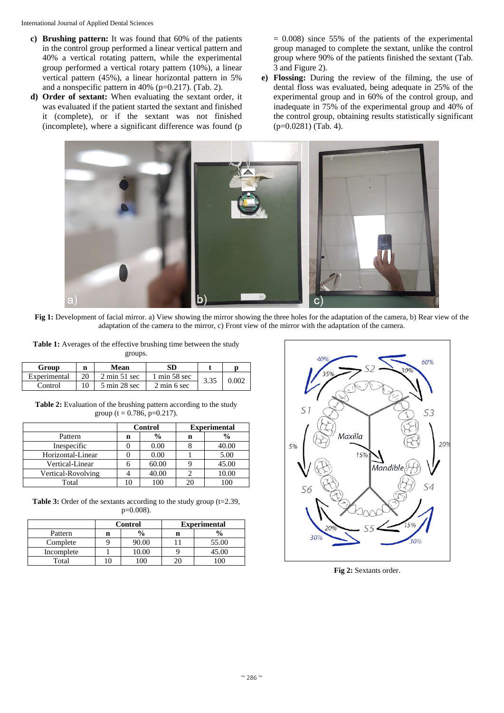- **c) Brushing pattern:** It was found that 60% of the patients in the control group performed a linear vertical pattern and 40% a vertical rotating pattern, while the experimental group performed a vertical rotary pattern (10%), a linear vertical pattern (45%), a linear horizontal pattern in 5% and a nonspecific pattern in 40% (p=0.217). (Tab. 2).
- **d) Order of sextant:** When evaluating the sextant order, it was evaluated if the patient started the sextant and finished it (complete), or if the sextant was not finished (incomplete), where a significant difference was found (p

 $= 0.008$ ) since 55% of the patients of the experimental group managed to complete the sextant, unlike the control group where 90% of the patients finished the sextant (Tab. 3 and Figure 2).

**e) Flossing:** During the review of the filming, the use of dental floss was evaluated, being adequate in 25% of the experimental group and in 60% of the control group, and inadequate in 75% of the experimental group and 40% of the control group, obtaining results statistically significant (p=0.0281) (Tab. 4).



**Fig 1:** Development of facial mirror. a) View showing the mirror showing the three holes for the adaptation of the camera, b) Rear view of the adaptation of the camera to the mirror, c) Front view of the mirror with the adaptation of the camera.

**Table 1:** Averages of the effective brushing time between the study groups.

| Group        | n | SD<br>Mean                      |                                 |      |       |
|--------------|---|---------------------------------|---------------------------------|------|-------|
| Experimental |   | $2 \text{ min } 51 \text{ sec}$ | $1 \text{ min } 58 \text{ sec}$ | 3.35 | 0.002 |
| Control      |   | $5 \text{ min } 28 \text{ sec}$ | $2 \text{ min } 6 \text{ sec}$  |      |       |

**Table 2:** Evaluation of the brushing pattern according to the study group (t = 0.786, p=0.217).

|                    | Control |               | <b>Experimental</b> |               |
|--------------------|---------|---------------|---------------------|---------------|
| Pattern            | n       | $\frac{0}{0}$ | n                   | $\frac{6}{9}$ |
| Inespecific        |         | 0.00          |                     | 40.00         |
| Horizontal-Linear  |         | 0.00          |                     | 5.00          |
| Vertical-Linear    |         | 60.00         |                     | 45.00         |
| Vertical-Rovolving |         | 40.00         |                     | 10.00         |
| Total              |         |               |                     |               |

**Table 3:** Order of the sextants according to the study group  $(t=2.39)$ , p=0.008).

|            | <b>Control</b> |       | <b>Experimental</b> |       |  |
|------------|----------------|-------|---------------------|-------|--|
| Pattern    | n              |       |                     |       |  |
| Complete   |                | 90.00 |                     | 55.00 |  |
| Incomplete |                | 10.00 |                     | 45.00 |  |
| Total      |                |       |                     |       |  |



**Fig 2:** Sextants order.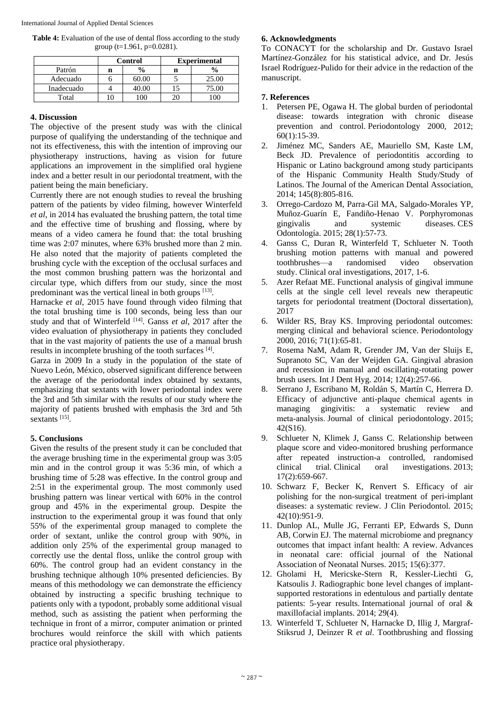**Table 4:** Evaluation of the use of dental floss according to the study group ( $t=1.961$ ,  $p=0.0281$ ).

|            | <b>Control</b> |                | <b>Experimental</b> |               |  |
|------------|----------------|----------------|---------------------|---------------|--|
| Patrón     | n              | $\frac{6}{10}$ | n                   | $\frac{0}{0}$ |  |
| Adecuado   |                | 60.00          |                     | 25.00         |  |
| Inadecuado |                | $+0.00$        |                     | 75.00         |  |
| Total      |                |                |                     |               |  |

### **4. Discussion**

The objective of the present study was with the clinical purpose of qualifying the understanding of the technique and not its effectiveness, this with the intention of improving our physiotherapy instructions, having as vision for future applications an improvement in the simplified oral hygiene index and a better result in our periodontal treatment, with the patient being the main beneficiary.

Currently there are not enough studies to reveal the brushing pattern of the patients by video filming, however Winterfeld *et al*, in 2014 has evaluated the brushing pattern, the total time and the effective time of brushing and flossing, where by means of a video camera he found that: the total brushing time was 2:07 minutes, where 63% brushed more than 2 min. He also noted that the majority of patients completed the brushing cycle with the exception of the occlusal surfaces and the most common brushing pattern was the horizontal and circular type, which differs from our study, since the most predominant was the vertical lineal in both groups [13].

Harnacke *et al*, 2015 have found through video filming that the total brushing time is 100 seconds, being less than our study and that of Winterfeld [14]. Ganss *et al*, 2017 after the video evaluation of physiotherapy in patients they concluded that in the vast majority of patients the use of a manual brush results in incomplete brushing of the tooth surfaces [4].

Garza in 2009 In a study in the population of the state of Nuevo León, México, observed significant difference between the average of the periodontal index obtained by sextants, emphasizing that sextants with lower periodontal index were the 3rd and 5th similar with the results of our study where the majority of patients brushed with emphasis the 3rd and 5th sextants<sup>[15]</sup>.

# **5. Conclusions**

Given the results of the present study it can be concluded that the average brushing time in the experimental group was 3:05 min and in the control group it was 5:36 min, of which a brushing time of 5:28 was effective. In the control group and 2:51 in the experimental group. The most commonly used brushing pattern was linear vertical with 60% in the control group and 45% in the experimental group. Despite the instruction to the experimental group it was found that only 55% of the experimental group managed to complete the order of sextant, unlike the control group with 90%, in addition only 25% of the experimental group managed to correctly use the dental floss, unlike the control group with 60%. The control group had an evident constancy in the brushing technique although 10% presented deficiencies. By means of this methodology we can demonstrate the efficiency obtained by instructing a specific brushing technique to patients only with a typodont, probably some additional visual method, such as assisting the patient when performing the technique in front of a mirror, computer animation or printed brochures would reinforce the skill with which patients practice oral physiotherapy.

# **6. Acknowledgments**

To CONACYT for the scholarship and Dr. Gustavo Israel Martínez-González for his statistical advice, and Dr. Jesús Israel Rodríguez-Pulido for their advice in the redaction of the manuscript.

# **7. References**

- 1. Petersen PE, Ogawa H. The global burden of periodontal disease: towards integration with chronic disease prevention and control. Periodontology 2000, 2012; 60(1):15-39.
- 2. Jiménez MC, Sanders AE, Mauriello SM, Kaste LM, Beck JD. Prevalence of periodontitis according to Hispanic or Latino background among study participants of the Hispanic Community Health Study/Study of Latinos. The Journal of the American Dental Association, 2014; 145(8):805-816.
- 3. Orrego-Cardozo M, Parra-Gil MA, Salgado-Morales YP, Muñoz-Guarín E, Fandiño-Henao V. Porphyromonas gingivalis and systemic diseases. CES Odontología. 2015; 28(1):57-73.
- 4. Ganss C, Duran R, Winterfeld T, Schlueter N. Tooth brushing motion patterns with manual and powered toothbrushes—a randomised video observation study. Clinical oral investigations, 2017, 1-6.
- 5. Azer Refaat ME. Functional analysis of gingival immune cells at the single cell level reveals new therapeutic targets for periodontal treatment (Doctoral dissertation), 2017
- 6. Wilder RS, Bray KS. Improving periodontal outcomes: merging clinical and behavioral science. Periodontology 2000, 2016; 71(1):65-81.
- 7. Rosema NaM, Adam R, Grender JM, Van der Sluijs E, Supranoto SC, Van der Weijden GA. Gingival abrasion and recession in manual and oscillating-rotating power brush users. Int J Dent Hyg. 2014; 12(4):257-66.
- 8. Serrano J, Escribano M, Roldán S, Martín C, Herrera D. Efficacy of adjunctive anti‐plaque chemical agents in managing gingivitis: a systematic review and meta-analysis. Journal of clinical periodontology. 2015; 42(S16).
- 9. Schlueter N, Klimek J, Ganss C. Relationship between plaque score and video-monitored brushing performance after repeated instruction-a controlled, randomised clinical trial. Clinical oral investigations. 2013; 17(2):659-667.
- 10. Schwarz F, Becker K, Renvert S. Efficacy of air polishing for the non-surgical treatment of peri-implant diseases: a systematic review. J Clin Periodontol. 2015; 42(10):951-9.
- 11. Dunlop AL, Mulle JG, Ferranti EP, Edwards S, Dunn AB, Corwin EJ. The maternal microbiome and pregnancy outcomes that impact infant health: A review. Advances in neonatal care: official journal of the National Association of Neonatal Nurses. 2015; 15(6):377.
- 12. Gholami H, Mericske-Stern R, Kessler-Liechti G, Katsoulis J. Radiographic bone level changes of implantsupported restorations in edentulous and partially dentate patients: 5-year results. International journal of oral & maxillofacial implants. 2014; 29(4).
- 13. Winterfeld T, Schlueter N, Harnacke D, Illig J, Margraf-Stiksrud J, Deinzer R *et al*. Toothbrushing and flossing